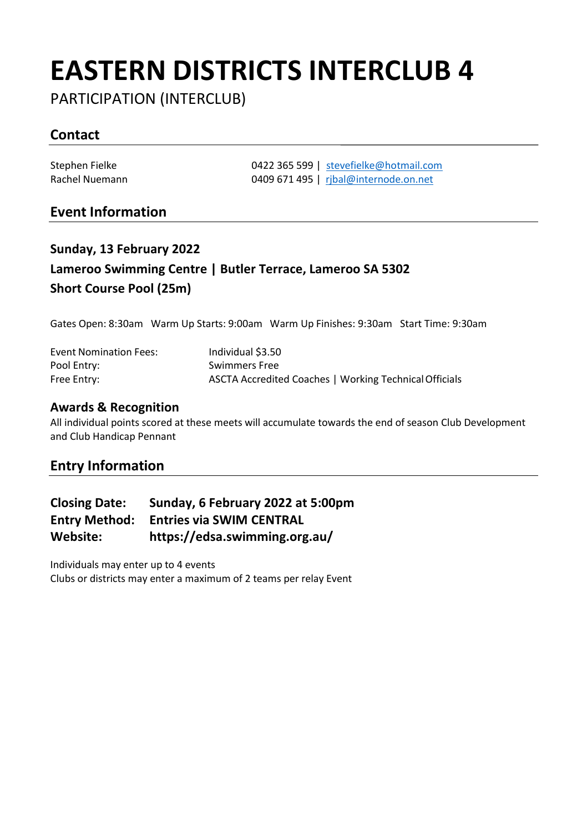# **EASTERN DISTRICTS INTERCLUB 4**

PARTICIPATION (INTERCLUB)

## **Contact**

Stephen Fielke **1422 365 599** | [stevefielke@hotmail.com](mailto:stevefielke@hotmail.com)<br>
Rachel Nuemann 1488 | complete 1495 | ribal@internode.on.net 0409 671 495 | [rjbal@internode.on.net](mailto:rjbal@internode.on.net)

### **Event Information**

## **Sunday, 13 February 2022 Lameroo Swimming Centre | Butler Terrace, Lameroo SA 5302 Short Course Pool (25m)**

Gates Open: 8:30am Warm Up Starts: 9:00am Warm Up Finishes: 9:30am Start Time: 9:30am

| <b>Event Nomination Fees:</b> | Individual \$3.50                                      |
|-------------------------------|--------------------------------------------------------|
| Pool Entry:                   | <b>Swimmers Free</b>                                   |
| Free Entry:                   | ASCTA Accredited Coaches   Working Technical Officials |

#### **Awards & Recognition**

All individual points scored at these meets will accumulate towards the end of season Club Development and Club Handicap Pennant

### **Entry Information**

| <b>Closing Date:</b> | Sunday, 6 February 2022 at 5:00pm |
|----------------------|-----------------------------------|
| <b>Entry Method:</b> | <b>Entries via SWIM CENTRAL</b>   |
| Website:             | https://edsa.swimming.org.au/     |

Individuals may enter up to 4 events Clubs or districts may enter a maximum of 2 teams per relay Event